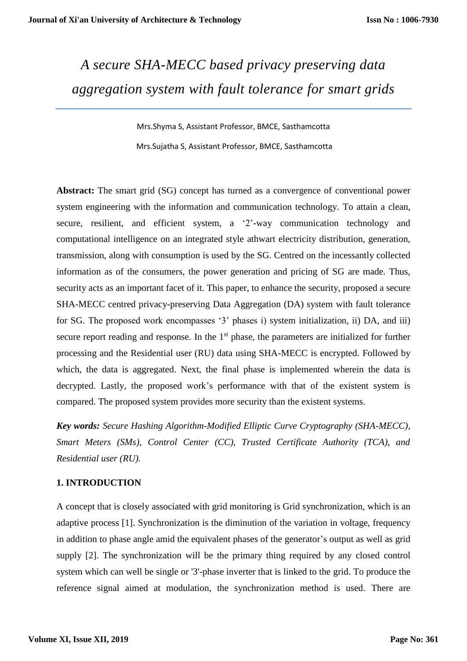# *A secure SHA-MECC based privacy preserving data aggregation system with fault tolerance for smart grids*

Mrs.Shyma S, Assistant Professor, BMCE, Sasthamcotta Mrs.Sujatha S, Assistant Professor, BMCE, Sasthamcotta

**Abstract:** The smart grid (SG) concept has turned as a convergence of conventional power system engineering with the information and communication technology. To attain a clean, secure, resilient, and efficient system, a '2'-way communication technology and computational intelligence on an integrated style athwart electricity distribution, generation, transmission, along with consumption is used by the SG. Centred on the incessantly collected information as of the consumers, the power generation and pricing of SG are made. Thus, security acts as an important facet of it. This paper, to enhance the security, proposed a secure SHA-MECC centred privacy-preserving Data Aggregation (DA) system with fault tolerance for SG. The proposed work encompasses '3' phases i) system initialization, ii) DA, and iii) secure report reading and response. In the 1<sup>st</sup> phase, the parameters are initialized for further processing and the Residential user (RU) data using SHA-MECC is encrypted. Followed by which, the data is aggregated. Next, the final phase is implemented wherein the data is decrypted. Lastly, the proposed work's performance with that of the existent system is compared. The proposed system provides more security than the existent systems.

*Key words: Secure Hashing Algorithm-Modified Elliptic Curve Cryptography (SHA-MECC), Smart Meters (SMs), Control Center (CC), Trusted Certificate Authority (TCA), and Residential user (RU).*

# **1. INTRODUCTION**

A concept that is closely associated with grid monitoring is Grid synchronization, which is an adaptive process [1]. Synchronization is the diminution of the variation in voltage, frequency in addition to phase angle amid the equivalent phases of the generator's output as well as grid supply [2]. The synchronization will be the primary thing required by any closed control system which can well be single or '3'-phase inverter that is linked to the grid. To produce the reference signal aimed at modulation, the synchronization method is used. There are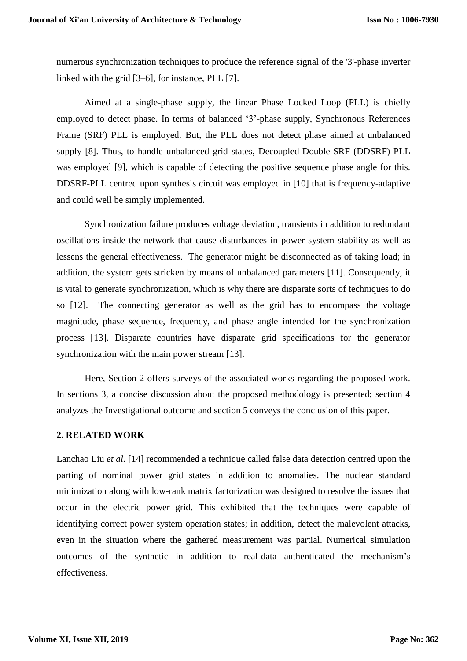numerous synchronization techniques to produce the reference signal of the '3'-phase inverter linked with the grid [3–6], for instance, PLL [7].

Aimed at a single-phase supply, the linear Phase Locked Loop (PLL) is chiefly employed to detect phase. In terms of balanced '3'-phase supply, Synchronous References Frame (SRF) PLL is employed. But, the PLL does not detect phase aimed at unbalanced supply [8]. Thus, to handle unbalanced grid states, Decoupled-Double-SRF (DDSRF) PLL was employed [9], which is capable of detecting the positive sequence phase angle for this. DDSRF-PLL centred upon synthesis circuit was employed in [10] that is frequency-adaptive and could well be simply implemented.

Synchronization failure produces voltage deviation, transients in addition to redundant oscillations inside the network that cause disturbances in power system stability as well as lessens the general effectiveness. The generator might be disconnected as of taking load; in addition, the system gets stricken by means of unbalanced parameters [11]. Consequently, it is vital to generate synchronization, which is why there are disparate sorts of techniques to do so [12]. The connecting generator as well as the grid has to encompass the voltage magnitude, phase sequence, frequency, and phase angle intended for the synchronization process [13]. Disparate countries have disparate grid specifications for the generator synchronization with the main power stream [13].

Here, Section 2 offers surveys of the associated works regarding the proposed work. In sections 3, a concise discussion about the proposed methodology is presented; section 4 analyzes the Investigational outcome and section 5 conveys the conclusion of this paper.

# **2. RELATED WORK**

Lanchao Liu *et al.* [14] recommended a technique called false data detection centred upon the parting of nominal power grid states in addition to anomalies. The nuclear standard minimization along with low-rank matrix factorization was designed to resolve the issues that occur in the electric power grid. This exhibited that the techniques were capable of identifying correct power system operation states; in addition, detect the malevolent attacks, even in the situation where the gathered measurement was partial. Numerical simulation outcomes of the synthetic in addition to real-data authenticated the mechanism's effectiveness.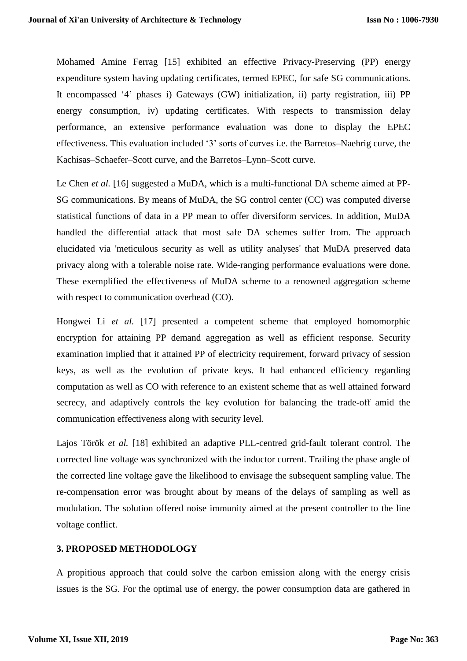Mohamed Amine Ferrag [15] exhibited an effective Privacy-Preserving (PP) energy expenditure system having updating certificates, termed EPEC, for safe SG communications. It encompassed '4' phases i) Gateways (GW) initialization, ii) party registration, iii) PP energy consumption, iv) updating certificates. With respects to transmission delay performance, an extensive performance evaluation was done to display the EPEC effectiveness. This evaluation included '3' sorts of curves i.e. the Barretos–Naehrig curve, the Kachisas–Schaefer–Scott curve, and the Barretos–Lynn–Scott curve.

Le Chen *et al.* [16] suggested a MuDA, which is a multi-functional DA scheme aimed at PP-SG communications. By means of MuDA, the SG control center (CC) was computed diverse statistical functions of data in a PP mean to offer diversiform services. In addition, MuDA handled the differential attack that most safe DA schemes suffer from. The approach elucidated via 'meticulous security as well as utility analyses' that MuDA preserved data privacy along with a tolerable noise rate. Wide-ranging performance evaluations were done. These exemplified the effectiveness of MuDA scheme to a renowned aggregation scheme with respect to communication overhead (CO).

Hongwei Li *et al.* [17] presented a competent scheme that employed homomorphic encryption for attaining PP demand aggregation as well as efficient response. Security examination implied that it attained PP of electricity requirement, forward privacy of session keys, as well as the evolution of private keys. It had enhanced efficiency regarding computation as well as CO with reference to an existent scheme that as well attained forward secrecy, and adaptively controls the key evolution for balancing the trade-off amid the communication effectiveness along with security level.

Lajos Török *et al.* [18] exhibited an adaptive PLL-centred grid-fault tolerant control. The corrected line voltage was synchronized with the inductor current. Trailing the phase angle of the corrected line voltage gave the likelihood to envisage the subsequent sampling value. The re-compensation error was brought about by means of the delays of sampling as well as modulation. The solution offered noise immunity aimed at the present controller to the line voltage conflict.

# **3. PROPOSED METHODOLOGY**

A propitious approach that could solve the carbon emission along with the energy crisis issues is the SG. For the optimal use of energy, the power consumption data are gathered in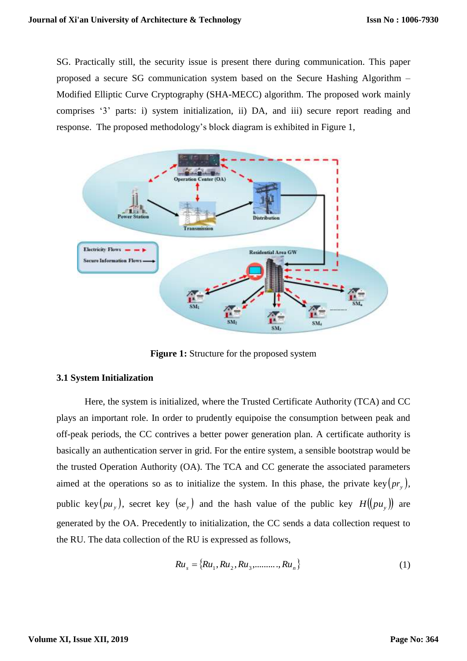SG. Practically still, the security issue is present there during communication. This paper proposed a secure SG communication system based on the Secure Hashing Algorithm – Modified Elliptic Curve Cryptography (SHA-MECC) algorithm. The proposed work mainly comprises '3' parts: i) system initialization, ii) DA, and iii) secure report reading and response. The proposed methodology's block diagram is exhibited in Figure 1,



**Figure 1:** Structure for the proposed system

#### **3.1 System Initialization**

Here, the system is initialized, where the Trusted Certificate Authority (TCA) and CC plays an important role. In order to prudently equipoise the consumption between peak and off-peak periods, the CC contrives a better power generation plan. A certificate authority is basically an authentication server in grid. For the entire system, a sensible bootstrap would be the trusted Operation Authority (OA). The TCA and CC generate the associated parameters aimed at the operations so as to initialize the system. In this phase, the private key $(pr_y)$ , public key  $(pu_y)$ , secret key  $(se_y)$  and the hash value of the public key  $H((pu_y))$  are generated by the OA. Precedently to initialization, the CC sends a data collection request to the RU. The data collection of the RU is expressed as follows,

$$
Ru_s = \{Ru_1, Ru_2, Ru_3, \dots, Ru_n\}
$$
 (1)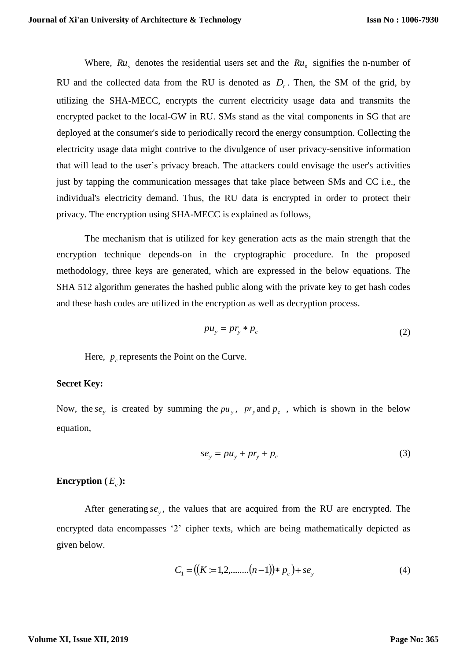Where,  $Ru_s$  denotes the residential users set and the  $Ru_n$  signifies the n-number of RU and the collected data from the RU is denoted as  $D_r$ . Then, the SM of the grid, by utilizing the SHA-MECC, encrypts the current electricity usage data and transmits the encrypted packet to the local-GW in RU. SMs stand as the vital components in SG that are deployed at the consumer's side to periodically record the energy consumption. Collecting the electricity usage data might contrive to the divulgence of user privacy-sensitive information that will lead to the user's privacy breach. The attackers could envisage the user's activities just by tapping the communication messages that take place between SMs and CC i.e., the individual's electricity demand. Thus, the RU data is encrypted in order to protect their privacy. The encryption using SHA-MECC is explained as follows,

The mechanism that is utilized for key generation acts as the main strength that the encryption technique depends-on in the cryptographic procedure. In the proposed methodology, three keys are generated, which are expressed in the below equations. The SHA 512 algorithm generates the hashed public along with the private key to get hash codes and these hash codes are utilized in the encryption as well as decryption process.

$$
pu_y = pr_y * p_c \tag{2}
$$

Here,  $p_c$  represents the Point on the Curve.

#### **Secret Key:**

Now, the se<sub>y</sub> is created by summing the  $pu_y$ ,  $pr_y$  and  $p_c$ , which is shown in the below equation,

$$
se_y = pu_y + pr_y + p_c \tag{3}
$$

#### **Encryption**  $(E_c)$ :

After generating  $se_y$ , the values that are acquired from the RU are encrypted. The encrypted data encompasses '2' cipher texts, which are being mathematically depicted as given below.

$$
C_1 = ((K := 1, 2, \dots, (n-1)) * p_c) + s e_y \tag{4}
$$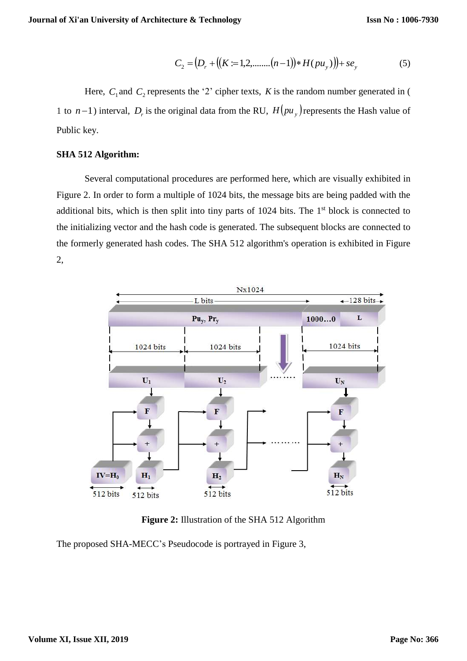$$
C_2 = (D_r + ((K := 1, 2, \dots, (n-1)) * H(pu_y)) + se_y
$$
 (5)

Here,  $C_1$  and  $C_2$  represents the '2' cipher texts, K is the random number generated in ( 1 to  $n-1$ ) interval,  $D_r$  is the original data from the RU,  $H(pu_y)$  represents the Hash value of Public key.

#### **SHA 512 Algorithm:**

Several computational procedures are performed here, which are visually exhibited in Figure 2. In order to form a multiple of 1024 bits, the message bits are being padded with the additional bits, which is then split into tiny parts of  $1024$  bits. The  $1<sup>st</sup>$  block is connected to the initializing vector and the hash code is generated. The subsequent blocks are connected to the formerly generated hash codes. The SHA 512 algorithm's operation is exhibited in Figure 2,



**Figure 2:** Illustration of the SHA 512 Algorithm

The proposed SHA-MECC's Pseudocode is portrayed in Figure 3,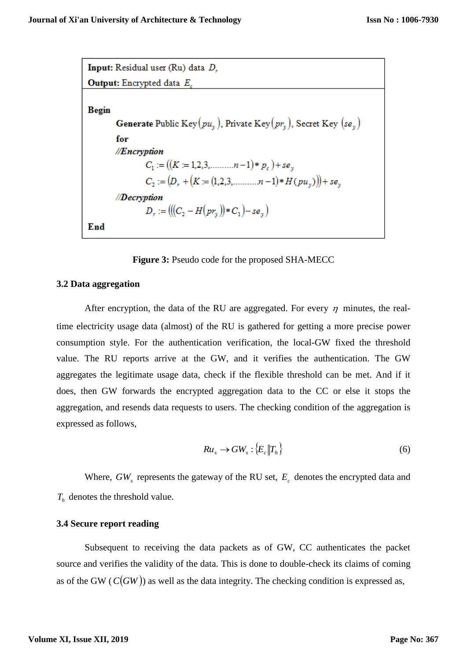Input: Residual user (Ru) data D, **Output:** Encrypted data  $E_c$ **Begin Generate** Public Key $(pu_v)$ , Private Key $(pv_v)$ , Secret Key  $(se_v)$ for //Encryption  $C_1 := ((K = 1, 2, 3, \dots, n-1) * p_c) + se_v$  $C_2 := (D_r + (K = (1,2,3, \dots, n-1) * H(pu_y)) + se_y$ //Decryption  $D_r := (((C_2 - H(pr_v)) * C_1) - se_v)$ End

**Figure 3:** Pseudo code for the proposed SHA-MECC

#### **3.2 Data aggregation**

After encryption, the data of the RU are aggregated. For every  $\eta$  minutes, the realtime electricity usage data (almost) of the RU is gathered for getting a more precise power consumption style. For the authentication verification, the local-GW fixed the threshold value. The RU reports arrive at the GW, and it verifies the authentication. The GW aggregates the legitimate usage data, check if the flexible threshold can be met. And if it does, then GW forwards the encrypted aggregation data to the CC or else it stops the aggregation, and resends data requests to users. The checking condition of the aggregation is expressed as follows,

$$
Ru_s \to GW_s : \{E_c \|T_h\} \tag{6}
$$

Where,  $GW<sub>s</sub>$  represents the gateway of the RU set,  $E<sub>c</sub>$  denotes the encrypted data and *Th* denotes the threshold value.

### **3.4 Secure report reading**

Subsequent to receiving the data packets as of GW, CC authenticates the packet source and verifies the validity of the data. This is done to double-check its claims of coming as of the GW  $(C(GW))$  as well as the data integrity. The checking condition is expressed as,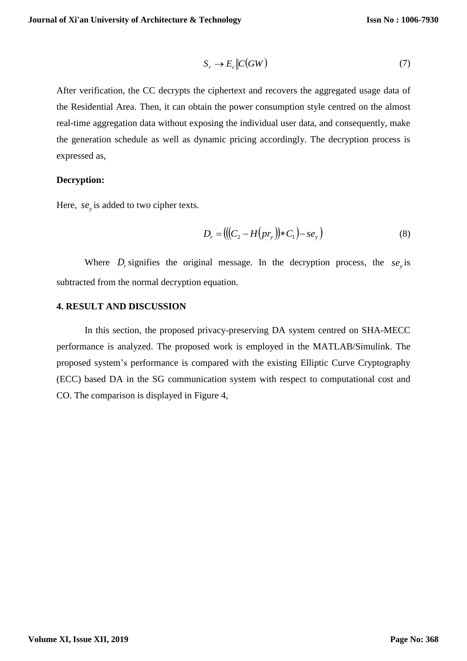$$
S_r \to E_c \| C(GW) \tag{7}
$$

After verification, the CC decrypts the ciphertext and recovers the aggregated usage data of the Residential Area. Then, it can obtain the power consumption style centred on the almost real-time aggregation data without exposing the individual user data, and consequently, make the generation schedule as well as dynamic pricing accordingly. The decryption process is expressed as,

# **Decryption:**

Here,  $se_y$  is added to two cipher texts.

$$
D_r = (((C_2 - H(pr_y)) * C_1) - se_y)
$$
\n(8)

Where  $D_r$  signifies the original message. In the decryption process, the  $se_y$  is subtracted from the normal decryption equation.

#### **4. RESULT AND DISCUSSION**

In this section, the proposed privacy-preserving DA system centred on SHA-MECC performance is analyzed. The proposed work is employed in the MATLAB/Simulink. The proposed system's performance is compared with the existing Elliptic Curve Cryptography (ECC) based DA in the SG communication system with respect to computational cost and CO. The comparison is displayed in Figure 4,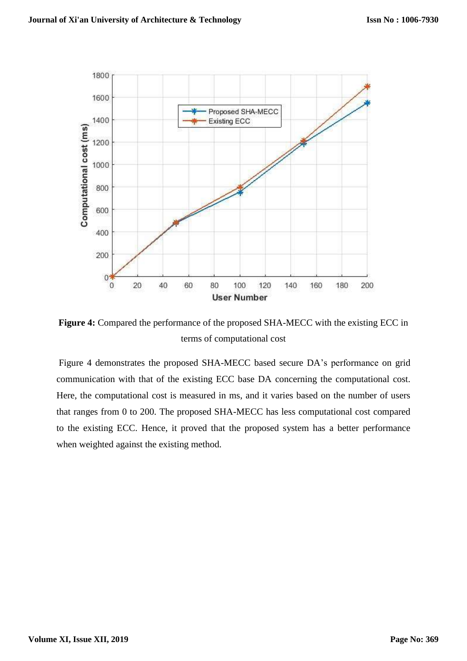

**Figure 4:** Compared the performance of the proposed SHA-MECC with the existing ECC in terms of computational cost

Figure 4 demonstrates the proposed SHA-MECC based secure DA's performance on grid communication with that of the existing ECC base DA concerning the computational cost. Here, the computational cost is measured in ms, and it varies based on the number of users that ranges from 0 to 200. The proposed SHA-MECC has less computational cost compared to the existing ECC. Hence, it proved that the proposed system has a better performance when weighted against the existing method.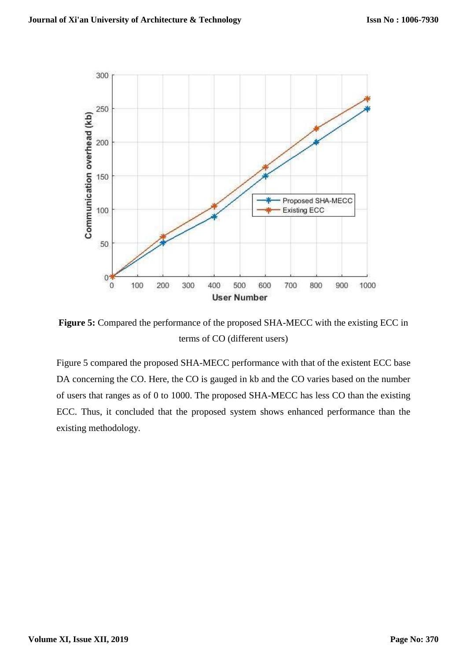

**Figure 5:** Compared the performance of the proposed SHA-MECC with the existing ECC in terms of CO (different users)

Figure 5 compared the proposed SHA-MECC performance with that of the existent ECC base DA concerning the CO. Here, the CO is gauged in kb and the CO varies based on the number of users that ranges as of 0 to 1000. The proposed SHA-MECC has less CO than the existing ECC. Thus, it concluded that the proposed system shows enhanced performance than the existing methodology.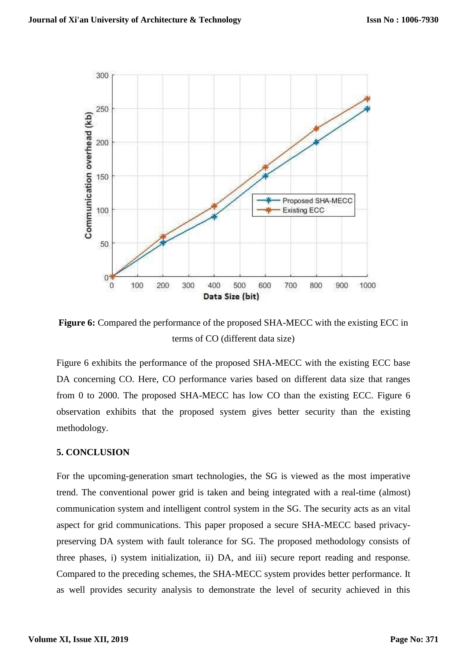

**Figure 6:** Compared the performance of the proposed SHA-MECC with the existing ECC in terms of CO (different data size)

Figure 6 exhibits the performance of the proposed SHA-MECC with the existing ECC base DA concerning CO. Here, CO performance varies based on different data size that ranges from 0 to 2000. The proposed SHA-MECC has low CO than the existing ECC. Figure 6 observation exhibits that the proposed system gives better security than the existing methodology.

#### **5. CONCLUSION**

For the upcoming-generation smart technologies, the SG is viewed as the most imperative trend. The conventional power grid is taken and being integrated with a real-time (almost) communication system and intelligent control system in the SG. The security acts as an vital aspect for grid communications. This paper proposed a secure SHA-MECC based privacypreserving DA system with fault tolerance for SG. The proposed methodology consists of three phases, i) system initialization, ii) DA, and iii) secure report reading and response. Compared to the preceding schemes, the SHA-MECC system provides better performance. It as well provides security analysis to demonstrate the level of security achieved in this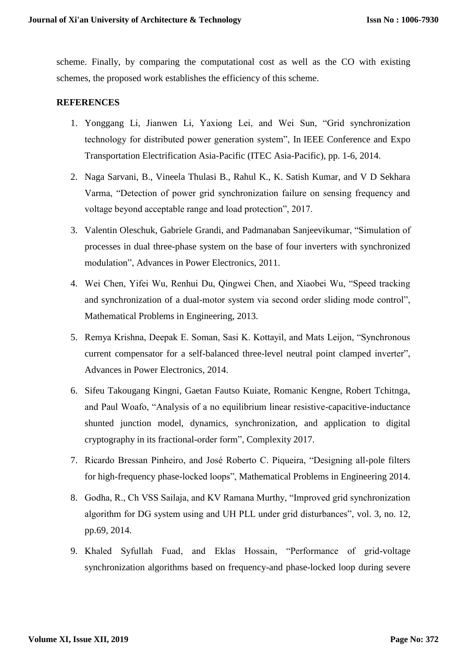scheme. Finally, by comparing the computational cost as well as the CO with existing schemes, the proposed work establishes the efficiency of this scheme.

# **REFERENCES**

- 1. Yonggang Li, Jianwen Li, Yaxiong Lei, and Wei Sun, "Grid synchronization technology for distributed power generation system", In IEEE Conference and Expo Transportation Electrification Asia-Pacific (ITEC Asia-Pacific), pp. 1-6, 2014.
- 2. Naga Sarvani, B., Vineela Thulasi B., Rahul K., K. Satish Kumar, and V D Sekhara Varma, "Detection of power grid synchronization failure on sensing frequency and voltage beyond acceptable range and load protection", 2017.
- 3. Valentin Oleschuk, Gabriele Grandi, and Padmanaban Sanjeevikumar, "Simulation of processes in dual three-phase system on the base of four inverters with synchronized modulation", Advances in Power Electronics, 2011.
- 4. Wei Chen, Yifei Wu, Renhui Du, Qingwei Chen, and Xiaobei Wu, "Speed tracking and synchronization of a dual-motor system via second order sliding mode control", Mathematical Problems in Engineering, 2013.
- 5. Remya Krishna, Deepak E. Soman, Sasi K. Kottayil, and Mats Leijon, "Synchronous current compensator for a self-balanced three-level neutral point clamped inverter", Advances in Power Electronics, 2014.
- 6. Sifeu Takougang Kingni, Gaetan Fautso Kuiate, Romanic Kengne, Robert Tchitnga, and Paul Woafo, "Analysis of a no equilibrium linear resistive-capacitive-inductance shunted junction model, dynamics, synchronization, and application to digital cryptography in its fractional-order form", Complexity 2017.
- 7. Ricardo Bressan Pinheiro, and José Roberto C. Piqueira, "Designing all-pole filters for high-frequency phase-locked loops", Mathematical Problems in Engineering 2014.
- 8. Godha, R., Ch VSS Sailaja, and KV Ramana Murthy, "Improved grid synchronization algorithm for DG system using and UH PLL under grid disturbances", vol. 3, no. 12, pp.69, 2014.
- 9. Khaled Syfullah Fuad, and Eklas Hossain, "Performance of grid-voltage synchronization algorithms based on frequency-and phase-locked loop during severe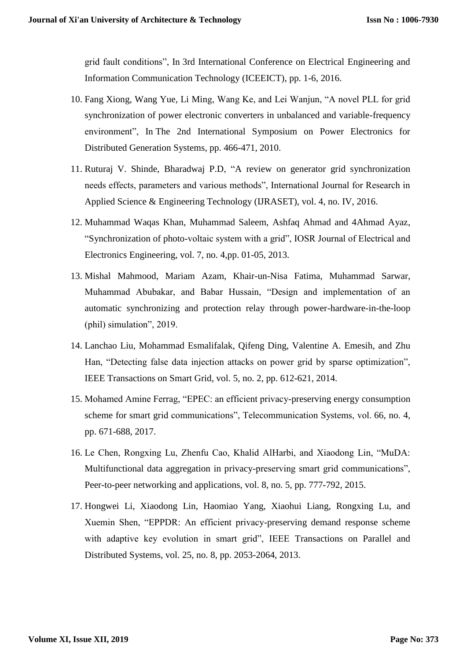grid fault conditions", In 3rd International Conference on Electrical Engineering and Information Communication Technology (ICEEICT), pp. 1-6, 2016.

- 10. Fang Xiong, Wang Yue, Li Ming, Wang Ke, and Lei Wanjun, "A novel PLL for grid synchronization of power electronic converters in unbalanced and variable-frequency environment", In The 2nd International Symposium on Power Electronics for Distributed Generation Systems, pp. 466-471, 2010.
- 11. Ruturaj V. Shinde, Bharadwaj P.D, "A review on generator grid synchronization needs effects, parameters and various methods", International Journal for Research in Applied Science & Engineering Technology (IJRASET), vol. 4, no. IV, 2016.
- 12. Muhammad Waqas Khan, Muhammad Saleem, Ashfaq Ahmad and 4Ahmad Ayaz, "Synchronization of photo-voltaic system with a grid", IOSR Journal of Electrical and Electronics Engineering, vol. 7, no. 4,pp. 01-05, 2013.
- 13. Mishal Mahmood, Mariam Azam, Khair-un-Nisa Fatima, Muhammad Sarwar, Muhammad Abubakar, and Babar Hussain, "Design and implementation of an automatic synchronizing and protection relay through power-hardware-in-the-loop (phil) simulation", 2019.
- 14. Lanchao Liu, Mohammad Esmalifalak, Qifeng Ding, Valentine A. Emesih, and Zhu Han, "Detecting false data injection attacks on power grid by sparse optimization", IEEE Transactions on Smart Grid, vol. 5, no. 2, pp. 612-621, 2014.
- 15. Mohamed Amine Ferrag, "EPEC: an efficient privacy-preserving energy consumption scheme for smart grid communications", Telecommunication Systems, vol. 66, no. 4, pp. 671-688, 2017.
- 16. Le Chen, Rongxing Lu, Zhenfu Cao, Khalid AlHarbi, and Xiaodong Lin, "MuDA: Multifunctional data aggregation in privacy-preserving smart grid communications", Peer-to-peer networking and applications, vol. 8, no. 5, pp. 777-792, 2015.
- 17. Hongwei Li, Xiaodong Lin, Haomiao Yang, Xiaohui Liang, Rongxing Lu, and Xuemin Shen, "EPPDR: An efficient privacy-preserving demand response scheme with adaptive key evolution in smart grid", IEEE Transactions on Parallel and Distributed Systems, vol. 25, no. 8, pp. 2053-2064, 2013.